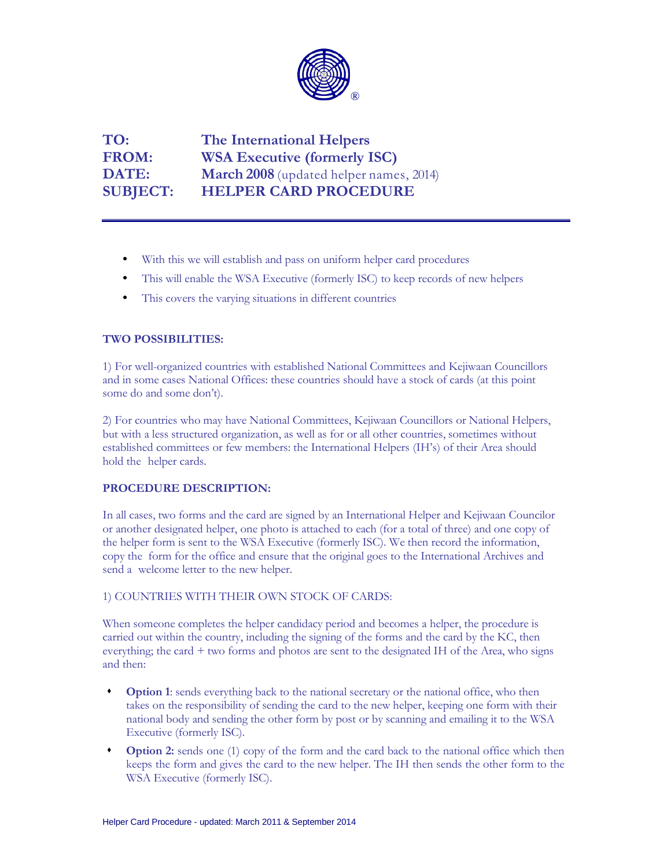

**TO: The International Helpers FROM: WSA Executive (formerly ISC) DATE: March 2008** (updated helper names, 2014) **SUBJECT: HELPER CARD PROCEDURE**

- With this we will establish and pass on uniform helper card procedures
- This will enable the WSA Executive (formerly ISC) to keep records of new helpers
- This covers the varying situations in different countries

# **TWO POSSIBILITIES:**

1) For well-organized countries with established National Committees and Kejiwaan Councillors and in some cases National Offices: these countries should have a stock of cards (at this point some do and some don't).

2) For countries who may have National Committees, Kejiwaan Councillors or National Helpers, but with a less structured organization, as well as for or all other countries, sometimes without established committees or few members: the International Helpers (IH's) of their Area should hold the helper cards.

## **PROCEDURE DESCRIPTION:**

In all cases, two forms and the card are signed by an International Helper and Kejiwaan Councilor or another designated helper, one photo is attached to each (for a total of three) and one copy of the helper form is sent to the WSA Executive (formerly ISC). We then record the information, copy the form for the office and ensure that the original goes to the International Archives and send a welcome letter to the new helper.

## 1) COUNTRIES WITH THEIR OWN STOCK OF CARDS:

When someone completes the helper candidacy period and becomes a helper, the procedure is carried out within the country, including the signing of the forms and the card by the KC, then everything; the card + two forms and photos are sent to the designated IH of the Area, who signs and then:

- **Option 1**: sends everything back to the national secretary or the national office, who then takes on the responsibility of sending the card to the new helper, keeping one form with their national body and sending the other form by post or by scanning and emailing it to the WSA Executive (formerly ISC).
- **Option 2:** sends one (1) copy of the form and the card back to the national office which then keeps the form and gives the card to the new helper. The IH then sends the other form to the WSA Executive (formerly ISC).